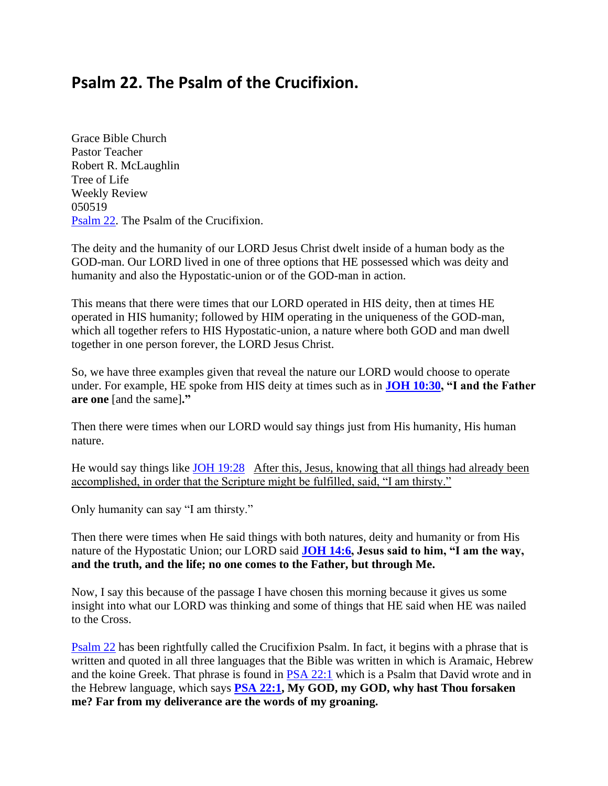# **Psalm 22. The Psalm of the Crucifixion.**

Grace Bible Church Pastor Teacher Robert R. McLaughlin Tree of Life Weekly Review 050519 [Psalm 22.](https://www.bibleserver.com/text/NIV/Psalm22) The Psalm of the Crucifixion.

The deity and the humanity of our LORD Jesus Christ dwelt inside of a human body as the GOD-man. Our LORD lived in one of three options that HE possessed which was deity and humanity and also the Hypostatic-union or of the GOD-man in action.

This means that there were times that our LORD operated in HIS deity, then at times HE operated in HIS humanity; followed by HIM operating in the uniqueness of the GOD-man, which all together refers to HIS Hypostatic-union, a nature where both GOD and man dwell together in one person forever, the LORD Jesus Christ.

So, we have three examples given that reveal the nature our LORD would choose to operate under. For example, HE spoke from HIS deity at times such as in **[JOH 10:30,](https://www.bibleserver.com/text/NIV/John10%3A30) "I and the Father are one** [and the same]**."**

Then there were times when our LORD would say things just from His humanity, His human nature.

He would say things like [JOH 19:28](https://www.bibleserver.com/text/NIV/John19%3A28) After this, Jesus, knowing that all things had already been accomplished, in order that the Scripture might be fulfilled, said, "I am thirsty."

Only humanity can say "I am thirsty."

Then there were times when He said things with both natures, deity and humanity or from His nature of the Hypostatic Union; our LORD said **[JOH 14:6,](https://www.bibleserver.com/text/NIV/John14%3A6) Jesus said to him, "I am the way, and the truth, and the life; no one comes to the Father, but through Me.** 

Now, I say this because of the passage I have chosen this morning because it gives us some insight into what our LORD was thinking and some of things that HE said when HE was nailed to the Cross.

[Psalm 22](https://www.bibleserver.com/text/NIV/Psalm22) has been rightfully called the Crucifixion Psalm. In fact, it begins with a phrase that is written and quoted in all three languages that the Bible was written in which is Aramaic, Hebrew and the koine Greek. That phrase is found in [PSA 22:1](https://www.bibleserver.com/text/NIV/Psalm22%3A1) which is a Psalm that David wrote and in the Hebrew language, which says **[PSA 22:1,](https://www.bibleserver.com/text/NIV/Psalm22%3A1) My GOD, my GOD, why hast Thou forsaken me? Far from my deliverance are the words of my groaning.**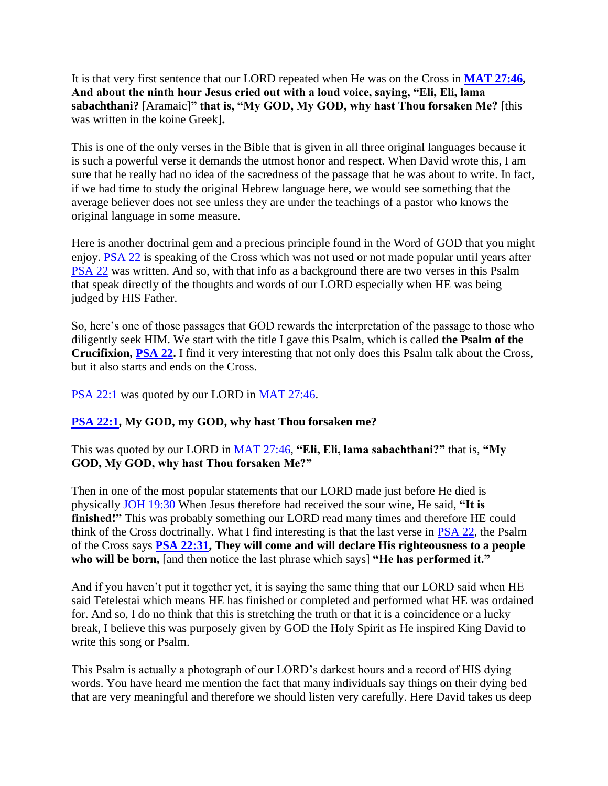It is that very first sentence that our LORD repeated when He was on the Cross in **[MAT 27:46,](https://www.bibleserver.com/text/NIV/Matthew27%3A46) And about the ninth hour Jesus cried out with a loud voice, saying, "Eli, Eli, lama sabachthani?** [Aramaic]**" that is, "My GOD, My GOD, why hast Thou forsaken Me?** [this was written in the koine Greek]**.**

This is one of the only verses in the Bible that is given in all three original languages because it is such a powerful verse it demands the utmost honor and respect. When David wrote this, I am sure that he really had no idea of the sacredness of the passage that he was about to write. In fact, if we had time to study the original Hebrew language here, we would see something that the average believer does not see unless they are under the teachings of a pastor who knows the original language in some measure.

Here is another doctrinal gem and a precious principle found in the Word of GOD that you might enjoy. [PSA 22](https://www.bibleserver.com/text/NIV/Psalm22) is speaking of the Cross which was not used or not made popular until years after [PSA 22](https://www.bibleserver.com/text/NIV/Psalm22) was written. And so, with that info as a background there are two verses in this Psalm that speak directly of the thoughts and words of our LORD especially when HE was being judged by HIS Father.

So, here's one of those passages that GOD rewards the interpretation of the passage to those who diligently seek HIM. We start with the title I gave this Psalm, which is called **the Psalm of the Crucifixion, [PSA 22.](https://www.bibleserver.com/text/NIV/Psalm22)** I find it very interesting that not only does this Psalm talk about the Cross, but it also starts and ends on the Cross.

[PSA 22:1](https://www.bibleserver.com/text/NIV/Psalm22%3A1) was quoted by our LORD in [MAT 27:46.](https://www.bibleserver.com/text/NIV/Matthew27%3A46)

# **[PSA 22:1,](https://www.bibleserver.com/text/NIV/Psalm22%3A1) My GOD, my GOD, why hast Thou forsaken me?**

This was quoted by our LORD in [MAT 27:46,](https://www.bibleserver.com/text/NIV/Matthew27%3A46) **"Eli, Eli, lama sabachthani?"** that is, **"My GOD, My GOD, why hast Thou forsaken Me?"**

Then in one of the most popular statements that our LORD made just before He died is physically [JOH 19:30](https://www.bibleserver.com/text/NIV/John19%3A30) When Jesus therefore had received the sour wine, He said, **"It is finished!"** This was probably something our LORD read many times and therefore HE could think of the Cross doctrinally. What I find interesting is that the last verse in [PSA 22,](https://www.bibleserver.com/text/NIV/Psalm22) the Psalm of the Cross says **[PSA 22:31,](https://www.bibleserver.com/text/NIV/Psalm22%3A31) They will come and will declare His righteousness to a people who will be born,** [and then notice the last phrase which says] **"He has performed it."**

And if you haven't put it together yet, it is saying the same thing that our LORD said when HE said Tetelestai which means HE has finished or completed and performed what HE was ordained for. And so, I do no think that this is stretching the truth or that it is a coincidence or a lucky break, I believe this was purposely given by GOD the Holy Spirit as He inspired King David to write this song or Psalm.

This Psalm is actually a photograph of our LORD's darkest hours and a record of HIS dying words. You have heard me mention the fact that many individuals say things on their dying bed that are very meaningful and therefore we should listen very carefully. Here David takes us deep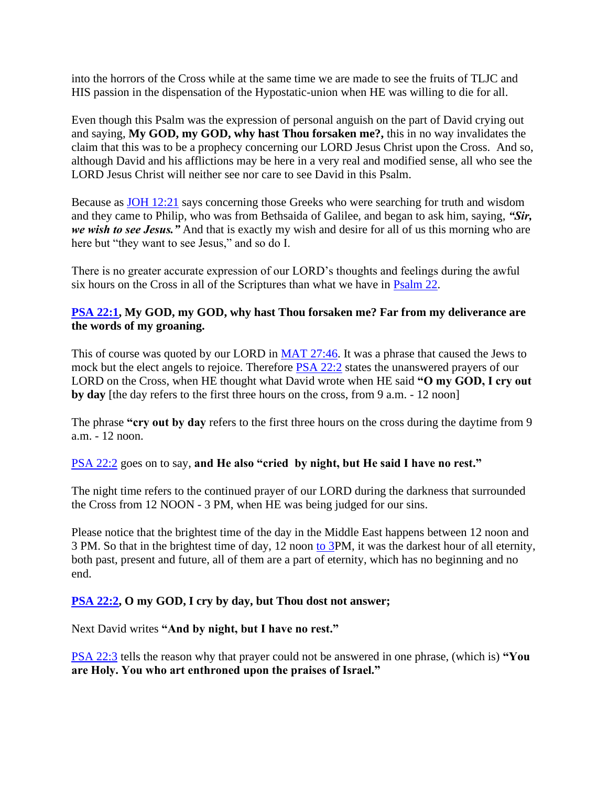into the horrors of the Cross while at the same time we are made to see the fruits of TLJC and HIS passion in the dispensation of the Hypostatic-union when HE was willing to die for all.

Even though this Psalm was the expression of personal anguish on the part of David crying out and saying, **My GOD, my GOD, why hast Thou forsaken me?,** this in no way invalidates the claim that this was to be a prophecy concerning our LORD Jesus Christ upon the Cross. And so, although David and his afflictions may be here in a very real and modified sense, all who see the LORD Jesus Christ will neither see nor care to see David in this Psalm.

Because as [JOH 12:21](https://www.bibleserver.com/text/NIV/John12%3A21) says concerning those Greeks who were searching for truth and wisdom and they came to Philip, who was from Bethsaida of Galilee, and began to ask him, saying, *"Sir, we wish to see Jesus."* And that is exactly my wish and desire for all of us this morning who are here but "they want to see Jesus," and so do I.

There is no greater accurate expression of our LORD's thoughts and feelings during the awful six hours on the Cross in all of the Scriptures than what we have in [Psalm 22.](https://www.bibleserver.com/text/NIV/Psalm22)

### **[PSA 22:1,](https://www.bibleserver.com/text/NIV/Psalm22%3A1) My GOD, my GOD, why hast Thou forsaken me? Far from my deliverance are the words of my groaning.**

This of course was quoted by our LORD in [MAT 27:46.](https://www.bibleserver.com/text/NIV/Matthew27%3A46) It was a phrase that caused the Jews to mock but the elect angels to rejoice. Therefore **PSA 22:2** states the unanswered prayers of our LORD on the Cross, when HE thought what David wrote when HE said **"O my GOD, I cry out by day** [the day refers to the first three hours on the cross, from 9 a.m. - 12 noon]

The phrase **"cry out by day** refers to the first three hours on the cross during the daytime from 9 a.m. - 12 noon.

#### [PSA 22:2](https://www.bibleserver.com/text/NIV/Psalm22%3A2) goes on to say, **and He also "cried by night, but He said I have no rest."**

The night time refers to the continued prayer of our LORD during the darkness that surrounded the Cross from 12 NOON - 3 PM, when HE was being judged for our sins.

Please notice that the brightest time of the day in the Middle East happens between 12 noon and 3 PM. So that in the brightest time of day, 12 noon [to 3P](https://www.bibleserver.com/text/NIV/Tobit3)M, it was the darkest hour of all eternity, both past, present and future, all of them are a part of eternity, which has no beginning and no end.

# **[PSA 22:2,](https://www.bibleserver.com/text/NIV/Psalm22%3A2) O my GOD, I cry by day, but Thou dost not answer;**

Next David writes **"And by night, but I have no rest."**

[PSA 22:3](https://www.bibleserver.com/text/NIV/Psalm22%3A3) tells the reason why that prayer could not be answered in one phrase, (which is) **"You are Holy. You who art enthroned upon the praises of Israel."**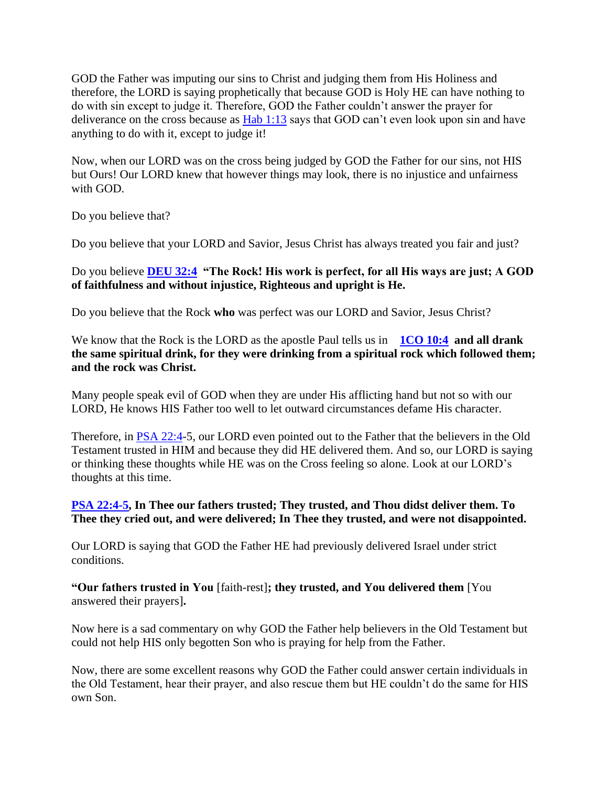GOD the Father was imputing our sins to Christ and judging them from His Holiness and therefore, the LORD is saying prophetically that because GOD is Holy HE can have nothing to do with sin except to judge it. Therefore, GOD the Father couldn't answer the prayer for deliverance on the cross because as [Hab 1:13](https://www.bibleserver.com/text/NIV/Habbakuk1%3A13) says that GOD can't even look upon sin and have anything to do with it, except to judge it!

Now, when our LORD was on the cross being judged by GOD the Father for our sins, not HIS but Ours! Our LORD knew that however things may look, there is no injustice and unfairness with GOD.

Do you believe that?

Do you believe that your LORD and Savior, Jesus Christ has always treated you fair and just?

### Do you believe **[DEU 32:4](https://www.bibleserver.com/text/NIV/Deuteronomy32%3A4) "The Rock! His work is perfect, for all His ways are just; A GOD of faithfulness and without injustice, Righteous and upright is He.**

Do you believe that the Rock **who** was perfect was our LORD and Savior, Jesus Christ?

We know that the Rock is the LORD as the apostle Paul tells us in **[1CO 10:4](https://www.bibleserver.com/text/NIV/1Corinthians10%3A4)** and all drank **the same spiritual drink, for they were drinking from a spiritual rock which followed them; and the rock was Christ.**

Many people speak evil of GOD when they are under His afflicting hand but not so with our LORD, He knows HIS Father too well to let outward circumstances defame His character.

Therefore, in [PSA 22:4-](https://www.bibleserver.com/text/NIV/Psalm22%3A4)5, our LORD even pointed out to the Father that the believers in the Old Testament trusted in HIM and because they did HE delivered them. And so, our LORD is saying or thinking these thoughts while HE was on the Cross feeling so alone. Look at our LORD's thoughts at this time.

#### **[PSA 22:4-5,](https://www.bibleserver.com/text/NIV/Psalm22%3A4-5) In Thee our fathers trusted; They trusted, and Thou didst deliver them. To Thee they cried out, and were delivered; In Thee they trusted, and were not disappointed.**

Our LORD is saying that GOD the Father HE had previously delivered Israel under strict conditions.

#### **"Our fathers trusted in You** [faith-rest]**; they trusted, and You delivered them** [You answered their prayers]**.**

Now here is a sad commentary on why GOD the Father help believers in the Old Testament but could not help HIS only begotten Son who is praying for help from the Father.

Now, there are some excellent reasons why GOD the Father could answer certain individuals in the Old Testament, hear their prayer, and also rescue them but HE couldn't do the same for HIS own Son.